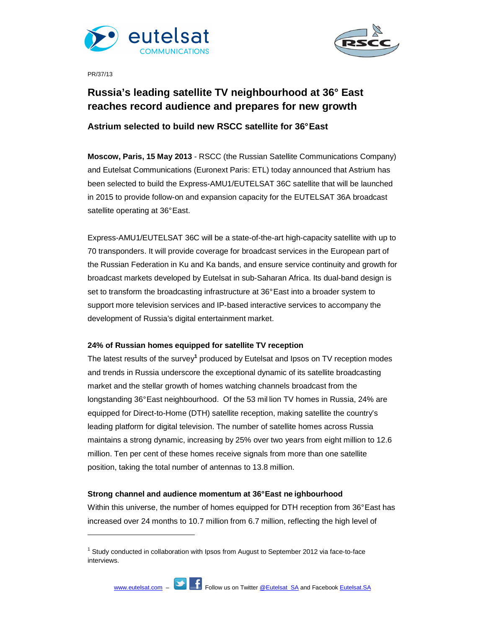



PR/37/13

# **Russia's leading satellite TV neighbourhood at 36° East reaches record audience and prepares for new growth**

## **Astrium selected to build new RSCC satellite for 36° East**

**Moscow, Paris, 15 May 2013** - RSCC (the Russian Satellite Communications Company) and Eutelsat Communications (Euronext Paris: ETL) today announced that Astrium has been selected to build the Express-AMU1/EUTELSAT 36C satellite that will be launched in 2015 to provide follow-on and expansion capacity for the EUTELSAT 36A broadcast satellite operating at 36° East.

Express-AMU1/EUTELSAT 36C will be a state-of-the-art high-capacity satellite with up to 70 transponders. It will provide coverage for broadcast services in the European part of the Russian Federation in Ku and Ka bands, and ensure service continuity and growth for broadcast markets developed by Eutelsat in sub-Saharan Africa. Its dual-band design is set to transform the broadcasting infrastructure at 36° East into a broader system to support more television services and IP-based interactive services to accompany the development of Russia's digital entertainment market.

## **24% of Russian homes equipped for satellite TV reception**

The latest results of the survey<sup>1</sup> produced by Eutelsat and Ipsos on TV reception modes and trends in Russia underscore the exceptional dynamic of its satellite broadcasting market and the stellar growth of homes watching channels broadcast from the longstanding 36° East neighbourhood. Of the 53 mil lion TV homes in Russia, 24% are equipped for Direct-to-Home (DTH) satellite reception, making satellite the country's leading platform for digital television. The number of satellite homes across Russia maintains a strong dynamic, increasing by 25% over two years from eight million to 12.6 million. Ten per cent of these homes receive signals from more than one satellite position, taking the total number of antennas to 13.8 million.

## **Strong channel and audience momentum at 36° East ne ighbourhood**

Within this universe, the number of homes equipped for DTH reception from 36° East has increased over 24 months to 10.7 million from 6.7 million, reflecting the high level of

 $1$  Study conducted in collaboration with Ipsos from August to September 2012 via face-to-face interviews.



l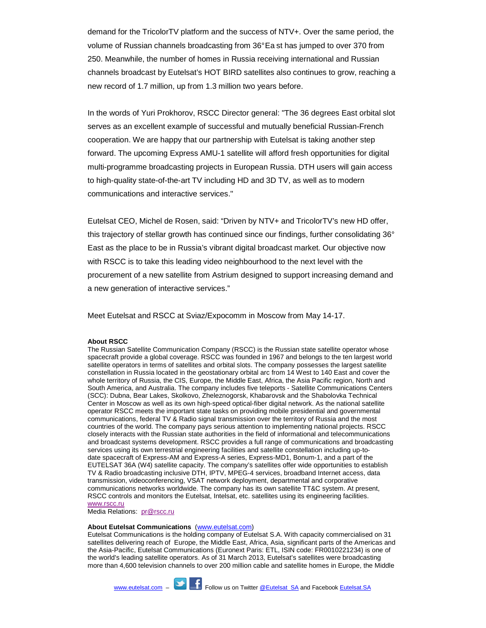demand for the TricolorTV platform and the success of NTV+. Over the same period, the volume of Russian channels broadcasting from 36° Ea st has jumped to over 370 from 250. Meanwhile, the number of homes in Russia receiving international and Russian channels broadcast by Eutelsat's HOT BIRD satellites also continues to grow, reaching a new record of 1.7 million, up from 1.3 million two years before.

In the words of Yuri Prokhorov, RSCC Director general: "The 36 degrees East orbital slot serves as an excellent example of successful and mutually beneficial Russian-French cooperation. We are happy that our partnership with Eutelsat is taking another step forward. The upcoming Express AMU-1 satellite will afford fresh opportunities for digital multi-programme broadcasting projects in European Russia. DTH users will gain access to high-quality state-of-the-art TV including HD and 3D TV, as well as to modern communications and interactive services."

Eutelsat CEO, Michel de Rosen, said: "Driven by NTV+ and TricolorTV's new HD offer, this trajectory of stellar growth has continued since our findings, further consolidating 36° East as the place to be in Russia's vibrant digital broadcast market. Our objective now with RSCC is to take this leading video neighbourhood to the next level with the procurement of a new satellite from Astrium designed to support increasing demand and a new generation of interactive services."

Meet Eutelsat and RSCC at Sviaz/Expocomm in Moscow from May 14-17.

#### **About RSCC**

The Russian Satellite Communication Company (RSCC) is the Russian state satellite operator whose spacecraft provide a global coverage. RSCC was founded in 1967 and belongs to the ten largest world satellite operators in terms of satellites and orbital slots. The company possesses the largest satellite constellation in Russia located in the geostationary orbital arc from 14 West to 140 East and cover the whole territory of Russia, the CIS, Europe, the Middle East, Africa, the Asia Pacific region, North and South America, and Australia. The company includes five teleports - Satellite Communications Centers (SCC): Dubna, Bear Lakes, Skolkovo, Zheleznogorsk, Khabarovsk and the Shabolovka Technical Center in Moscow as well as its own high-speed optical-fiber digital network. As the national satellite operator RSCC meets the important state tasks on providing mobile presidential and governmental communications, federal TV & Radio signal transmission over the territory of Russia and the most countries of the world. The company pays serious attention to implementing national projects. RSCC closely interacts with the Russian state authorities in the field of informational and telecommunications and broadcast systems development. RSCC provides a full range of communications and broadcasting services using its own terrestrial engineering facilities and satellite constellation including up-todate spacecraft of Express-AM and Express-A series, Express-MD1, Bonum-1, and a part of the EUTELSAT 36A (W4) satellite capacity. The company's satellites offer wide opportunities to establish TV & Radio broadcasting inclusive DTH, IPTV, MPEG-4 services, broadband Internet access, data transmission, videoconferencing, VSAT network deployment, departmental and corporative communications networks worldwide. The company has its own satellite TT&C system. At present, RSCC controls and monitors the Eutelsat, Intelsat, etc. satellites using its engineering facilities. www.rscc.ru

Media Relations: pr@rscc.ru

#### **About Eutelsat Communications** (www.eutelsat.com)

Eutelsat Communications is the holding company of Eutelsat S.A. With capacity commercialised on 31 satellites delivering reach of Europe, the Middle East, Africa, Asia, significant parts of the Americas and the Asia-Pacific, Eutelsat Communications (Euronext Paris: ETL, ISIN code: FR0010221234) is one of the world's leading satellite operators. As of 31 March 2013, Eutelsat's satellites were broadcasting more than 4,600 television channels to over 200 million cable and satellite homes in Europe, the Middle